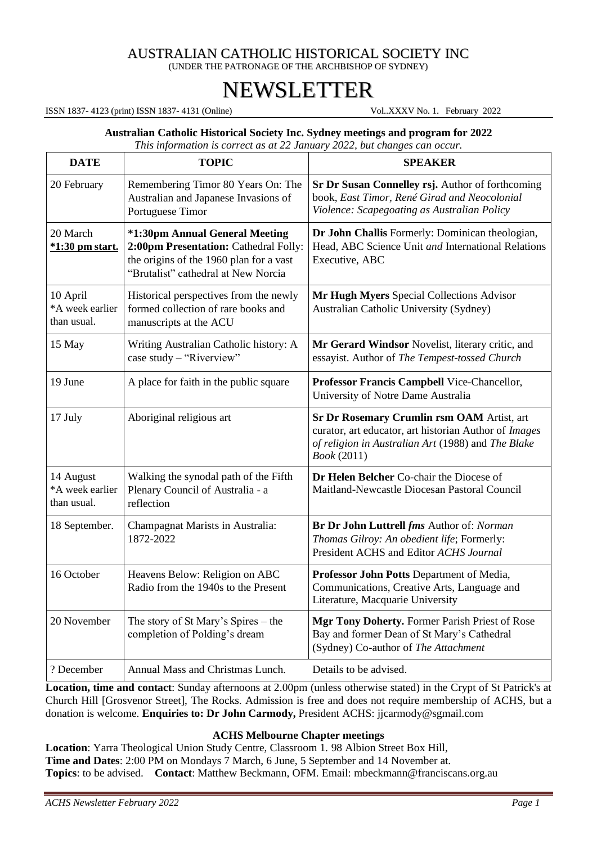# AUSTRALIAN CATHOLIC HISTORICAL SOCIETY INC (UNDER THE PATRONAGE OF THE ARCHBISHOP OF SYDNEY)

# NEWSLETTER

ISSN 1837- 4123 (print) ISSN 1837- 4131 (Online) Vol..XXXV No. 1. February 2022

#### **Australian Catholic Historical Society Inc. Sydney meetings and program for 2022**

*This information is correct as at 22 January 2022, but changes can occur.*

| <b>DATE</b>                                 | <b>TOPIC</b>                                                                                                                                              | <b>SPEAKER</b>                                                                                                                                                                  |
|---------------------------------------------|-----------------------------------------------------------------------------------------------------------------------------------------------------------|---------------------------------------------------------------------------------------------------------------------------------------------------------------------------------|
| 20 February                                 | Remembering Timor 80 Years On: The<br>Australian and Japanese Invasions of<br>Portuguese Timor                                                            | Sr Dr Susan Connelley rsj. Author of forthcoming<br>book, East Timor, René Girad and Neocolonial<br>Violence: Scapegoating as Australian Policy                                 |
| 20 March<br><u>*1:30 pm start.</u>          | *1:30pm Annual General Meeting<br>2:00pm Presentation: Cathedral Folly:<br>the origins of the 1960 plan for a vast<br>"Brutalist" cathedral at New Norcia | Dr John Challis Formerly: Dominican theologian,<br>Head, ABC Science Unit and International Relations<br>Executive, ABC                                                         |
| 10 April<br>*A week earlier<br>than usual.  | Historical perspectives from the newly<br>formed collection of rare books and<br>manuscripts at the ACU                                                   | Mr Hugh Myers Special Collections Advisor<br>Australian Catholic University (Sydney)                                                                                            |
| 15 May                                      | Writing Australian Catholic history: A<br>case study - "Riverview"                                                                                        | Mr Gerard Windsor Novelist, literary critic, and<br>essayist. Author of The Tempest-tossed Church                                                                               |
| 19 June                                     | A place for faith in the public square                                                                                                                    | Professor Francis Campbell Vice-Chancellor,<br>University of Notre Dame Australia                                                                                               |
| 17 July                                     | Aboriginal religious art                                                                                                                                  | Sr Dr Rosemary Crumlin rsm OAM Artist, art<br>curator, art educator, art historian Author of Images<br>of religion in Australian Art (1988) and The Blake<br><i>Book</i> (2011) |
| 14 August<br>*A week earlier<br>than usual. | Walking the synodal path of the Fifth<br>Plenary Council of Australia - a<br>reflection                                                                   | Dr Helen Belcher Co-chair the Diocese of<br>Maitland-Newcastle Diocesan Pastoral Council                                                                                        |
| 18 September.                               | Champagnat Marists in Australia:<br>1872-2022                                                                                                             | Br Dr John Luttrell fms Author of: Norman<br>Thomas Gilroy: An obedient life; Formerly:<br>President ACHS and Editor ACHS Journal                                               |
| 16 October                                  | Heavens Below: Religion on ABC<br>Radio from the 1940s to the Present                                                                                     | Professor John Potts Department of Media,<br>Communications, Creative Arts, Language and<br>Literature, Macquarie University                                                    |
| 20 November                                 | The story of St Mary's Spires – the<br>completion of Polding's dream                                                                                      | Mgr Tony Doherty. Former Parish Priest of Rose<br>Bay and former Dean of St Mary's Cathedral<br>(Sydney) Co-author of The Attachment                                            |
| ? December                                  | Annual Mass and Christmas Lunch.                                                                                                                          | Details to be advised.                                                                                                                                                          |

**Location, time and contact**: Sunday afternoons at 2.00pm (unless otherwise stated) in the Crypt of St Patrick's at Church Hill [Grosvenor Street], The Rocks. Admission is free and does not require membership of ACHS, but a donation is welcome. **Enquiries to: Dr John Carmody,** President ACHS: [jjcarmody@sgmail.com](mailto:jjcarmody@sgmail.com)

#### **ACHS Melbourne Chapter meetings**

**Location**: Yarra Theological Union Study Centre, Classroom 1. 98 Albion Street Box Hill, **Time and Dates**: 2:00 PM on Mondays 7 March, 6 June, 5 September and 14 November at. **Topics**: to be advised. **Contact**: Matthew Beckmann, OFM. Email: [mbeckmann@franciscans.org.au](mailto:mbeckmann@franciscans.org.au)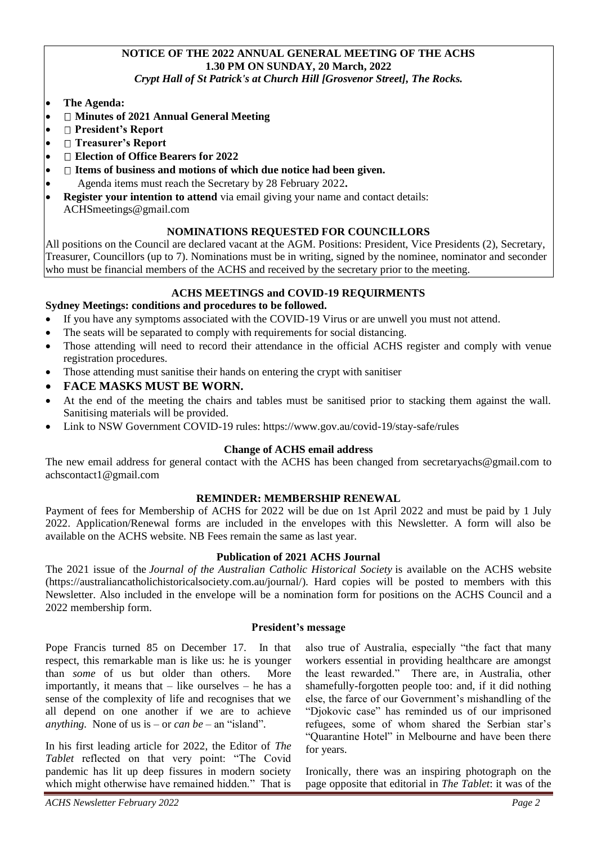# **NOTICE OF THE 2022 ANNUAL GENERAL MEETING OF THE ACHS 1.30 PM ON SUNDAY, 20 March, 2022**

*Crypt Hall of St Patrick's at Church Hill [Grosvenor Street], The Rocks.*

- **The Agenda:**
- **Minutes of 2021 Annual General Meeting**
- **President's Report**
- **Treasurer's Report**
- **Election of Office Bearers for 2022**
- **I** Items of business and motions of which due notice had been given.
- Agenda items must reach the Secretary by 28 February 2022**.**
- **Register your intention to attend** via email giving your name and contact details: ACHSmeetings@gmail.com

# **NOMINATIONS REQUESTED FOR COUNCILLORS**

All positions on the Council are declared vacant at the AGM. Positions: President, Vice Presidents (2), Secretary, Treasurer, Councillors (up to 7). Nominations must be in writing, signed by the nominee, nominator and seconder who must be financial members of the ACHS and received by the secretary prior to the meeting.

# **ACHS MEETINGS and COVID-19 REQUIRMENTS**

## **Sydney Meetings: conditions and procedures to be followed.**

- If you have any symptoms associated with the COVID-19 Virus or are unwell you must not attend.
- The seats will be separated to comply with requirements for social distancing.
- Those attending will need to record their attendance in the official ACHS register and comply with venue registration procedures.
- Those attending must sanitise their hands on entering the crypt with sanitiser
- **FACE MASKS MUST BE WORN.**
- At the end of the meeting the chairs and tables must be sanitised prior to stacking them against the wall. Sanitising materials will be provided.
- Link to NSW Government COVID-19 rules: <https://www.gov.au/covid-19/stay-safe/rules>

## **Change of ACHS email address**

The new email address for general contact with the ACHS has been changed from [secretaryachs@gmail.com](mailto:secretaryachs@gmail.com) to [achscontact1@gmail.com](mailto:achscontact1@gmail.com)

## **REMINDER: MEMBERSHIP RENEWAL**

Payment of fees for Membership of ACHS for 2022 will be due on 1st April 2022 and must be paid by 1 July 2022. Application/Renewal forms are included in the envelopes with this Newsletter. A form will also be available on the ACHS website. NB Fees remain the same as last year.

#### **Publication of 2021 ACHS Journal**

The 2021 issue of the *Journal of the Australian Catholic Historical Society* is available on the ACHS website [\(https://australiancatholichistoricalsociety.com.au/journal/\)](https://australiancatholichistoricalsociety.com.au/journal/). Hard copies will be posted to members with this Newsletter. Also included in the envelope will be a nomination form for positions on the ACHS Council and a 2022 membership form.

#### **President's message**

Pope Francis turned 85 on December 17. In that respect, this remarkable man is like us: he is younger than *some* of us but older than others. More importantly, it means that – like ourselves – he has a sense of the complexity of life and recognises that we all depend on one another if we are to achieve *anything.* None of us is – or *can be* – an "island".

In his first leading article for 2022, the Editor of *The Tablet* reflected on that very point: "The Covid pandemic has lit up deep fissures in modern society which might otherwise have remained hidden." That is

also true of Australia, especially "the fact that many workers essential in providing healthcare are amongst the least rewarded." There are, in Australia, other shamefully-forgotten people too: and, if it did nothing else, the farce of our Government's mishandling of the "Djokovic case" has reminded us of our imprisoned refugees, some of whom shared the Serbian star's "Quarantine Hotel" in Melbourne and have been there for years.

Ironically, there was an inspiring photograph on the page opposite that editorial in *The Tablet*: it was of the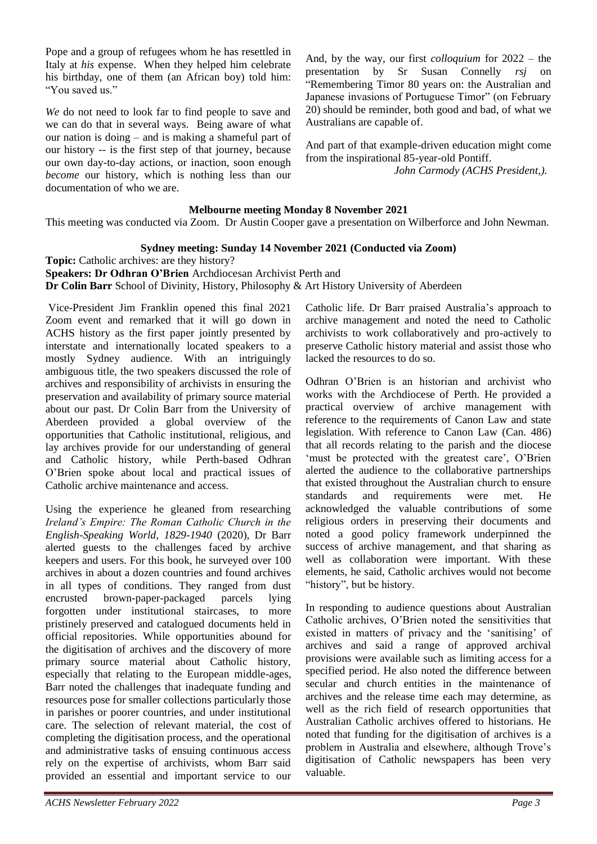Pope and a group of refugees whom he has resettled in Italy at *his* expense. When they helped him celebrate his birthday, one of them (an African boy) told him: "You saved us."

*We* do not need to look far to find people to save and we can do that in several ways. Being aware of what our nation is doing – and is making a shameful part of our history -- is the first step of that journey, because our own day-to-day actions, or inaction, soon enough *become* our history, which is nothing less than our documentation of who we are.

And, by the way, our first *colloquium* for 2022 – the presentation by Sr Susan Connelly *rsj* on "Remembering Timor 80 years on: the Australian and Japanese invasions of Portuguese Timor" (on February 20) should be reminder, both good and bad, of what we Australians are capable of.

And part of that example-driven education might come from the inspirational 85-year-old Pontiff.

 *John Carmody (ACHS President,).*

# **Melbourne meeting Monday 8 November 2021**

This meeting was conducted via Zoom. Dr Austin Cooper gave a presentation on Wilberforce and John Newman.

# **Sydney meeting: Sunday 14 November 2021 (Conducted via Zoom)**

**Topic:** Catholic archives: are they history?

**Speakers: Dr Odhran O'Brien** Archdiocesan Archivist Perth and **Dr Colin Barr** School of Divinity, History, Philosophy & Art History University of Aberdeen

Vice-President Jim Franklin opened this final 2021 Zoom event and remarked that it will go down in ACHS history as the first paper jointly presented by interstate and internationally located speakers to a mostly Sydney audience. With an intriguingly ambiguous title, the two speakers discussed the role of archives and responsibility of archivists in ensuring the preservation and availability of primary source material about our past. Dr Colin Barr from the University of Aberdeen provided a global overview of the opportunities that Catholic institutional, religious, and lay archives provide for our understanding of general and Catholic history, while Perth-based Odhran O'Brien spoke about local and practical issues of Catholic archive maintenance and access.

Using the experience he gleaned from researching *Ireland's Empire: The Roman Catholic Church in the English-Speaking World, 1829-1940* (2020), Dr Barr alerted guests to the challenges faced by archive keepers and users. For this book, he surveyed over 100 archives in about a dozen countries and found archives in all types of conditions. They ranged from dust encrusted brown-paper-packaged parcels lying forgotten under institutional staircases, to more pristinely preserved and catalogued documents held in official repositories. While opportunities abound for the digitisation of archives and the discovery of more primary source material about Catholic history, especially that relating to the European middle-ages, Barr noted the challenges that inadequate funding and resources pose for smaller collections particularly those in parishes or poorer countries, and under institutional care. The selection of relevant material, the cost of completing the digitisation process, and the operational and administrative tasks of ensuing continuous access rely on the expertise of archivists, whom Barr said provided an essential and important service to our

Catholic life. Dr Barr praised Australia's approach to archive management and noted the need to Catholic archivists to work collaboratively and pro-actively to preserve Catholic history material and assist those who lacked the resources to do so.

Odhran O'Brien is an historian and archivist who works with the Archdiocese of Perth. He provided a practical overview of archive management with reference to the requirements of Canon Law and state legislation. With reference to Canon Law (Can. 486) that all records relating to the parish and the diocese 'must be protected with the greatest care', O'Brien alerted the audience to the collaborative partnerships that existed throughout the Australian church to ensure standards and requirements were met. He acknowledged the valuable contributions of some religious orders in preserving their documents and noted a good policy framework underpinned the success of archive management, and that sharing as well as collaboration were important. With these elements, he said, Catholic archives would not become "history", but be history.

In responding to audience questions about Australian Catholic archives, O'Brien noted the sensitivities that existed in matters of privacy and the 'sanitising' of archives and said a range of approved archival provisions were available such as limiting access for a specified period. He also noted the difference between secular and church entities in the maintenance of archives and the release time each may determine, as well as the rich field of research opportunities that Australian Catholic archives offered to historians. He noted that funding for the digitisation of archives is a problem in Australia and elsewhere, although Trove's digitisation of Catholic newspapers has been very valuable.